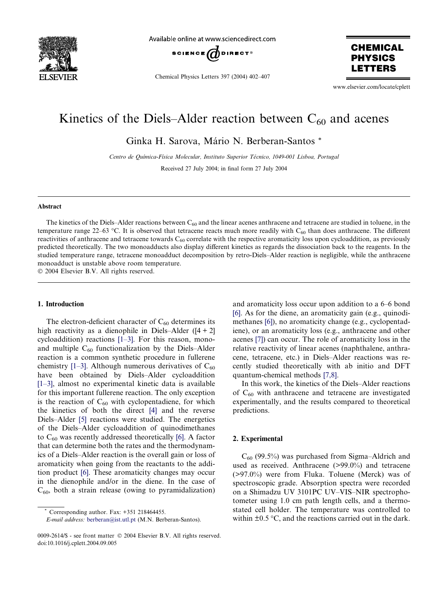

Available online at www.sciencedirect.com



Chemical Physics Letters 397 (2004) 402–407

**CHEMICAL PHYSICS ETTERS** 

www.elsevier.com/locate/cplett

# Kinetics of the Diels–Alder reaction between  $C_{60}$  and acenes

Ginka H. Sarova, Mário N. Berberan-Santos \*

Centro de Química-Física Molecular, Instituto Superior Técnico, 1049-001 Lisboa, Portugal

Received 27 July 2004; in final form 27 July 2004

#### Abstract

The kinetics of the Diels–Alder reactions between  $C_{60}$  and the linear acenes anthracene and tetracene are studied in toluene, in the temperature range 22–63 °C. It is observed that tetracene reacts much more readily with  $C_{60}$  than does anthracene. The different reactivities of anthracene and tetracene towards  $C_{60}$  correlate with the respective aromaticity loss upon cycloaddition, as previously predicted theoretically. The two monoadducts also display different kinetics as regards the dissociation back to the reagents. In the studied temperature range, tetracene monoadduct decomposition by retro-Diels–Alder reaction is negligible, while the anthracene monoadduct is unstable above room temperature.

© 2004 Elsevier B.V. All rights reserved.

## 1. Introduction

The electron-deficient character of  $C_{60}$  determines its high reactivity as a dienophile in Diels–Alder ( $[4 + 2]$ cycloaddition) reactions [\[1–3\]](#page-5-0). For this reason, monoand multiple  $C_{60}$  functionalization by the Diels–Alder reaction is a common synthetic procedure in fullerene chemistry [\[1–3\].](#page-5-0) Although numerous derivatives of  $C_{60}$ have been obtained by Diels–Alder cycloaddition [\[1–3\]](#page-5-0), almost no experimental kinetic data is available for this important fullerene reaction. The only exception is the reaction of  $C_{60}$  with cyclopentadiene, for which the kinetics of both the direct [\[4\]](#page-5-0) and the reverse Diels–Alder [\[5\]](#page-5-0) reactions were studied. The energetics of the Diels–Alder cycloaddition of quinodimethanes to  $C_{60}$  was recently addressed theoretically [\[6\].](#page-5-0) A factor that can determine both the rates and the thermodynamics of a Diels–Alder reaction is the overall gain or loss of aromaticity when going from the reactants to the addition product [\[6\]](#page-5-0). These aromaticity changes may occur in the dienophile and/or in the diene. In the case of  $C_{60}$ , both a strain release (owing to pyramidalization)

and aromaticity loss occur upon addition to a 6–6 bond [\[6\]](#page-5-0). As for the diene, an aromaticity gain (e.g., quinodimethanes [\[6\]](#page-5-0)), no aromaticity change (e.g., cyclopentadiene), or an aromaticity loss (e.g., anthracene and other acenes [\[7\]](#page-5-0)) can occur. The role of aromaticity loss in the relative reactivity of linear acenes (naphthalene, anthracene, tetracene, etc.) in Diels–Alder reactions was recently studied theoretically with ab initio and DFT quantum-chemical methods [\[7,8\].](#page-5-0)

In this work, the kinetics of the Diels–Alder reactions of  $C_{60}$  with anthracene and tetracene are investigated experimentally, and the results compared to theoretical predictions.

## 2. Experimental

 $C_{60}$  (99.5%) was purchased from Sigma–Aldrich and used as received. Anthracene (>99.0%) and tetracene (>97.0%) were from Fluka. Toluene (Merck) was of spectroscopic grade. Absorption spectra were recorded on a Shimadzu UV 3101PC UV–VIS–NIR spectrophotometer using 1.0 cm path length cells, and a thermostated cell holder. The temperature was controlled to within  $\pm 0.5$  °C, and the reactions carried out in the dark.

Corresponding author. Fax: +351 218464455.

E-mail address: [berberan@ist.utl.pt](mailto:berberan@ist.utl.pt ) (M.N. Berberan-Santos).

<sup>0009-2614/\$ -</sup> see front matter © 2004 Elsevier B.V. All rights reserved. doi:10.1016/j.cplett.2004.09.005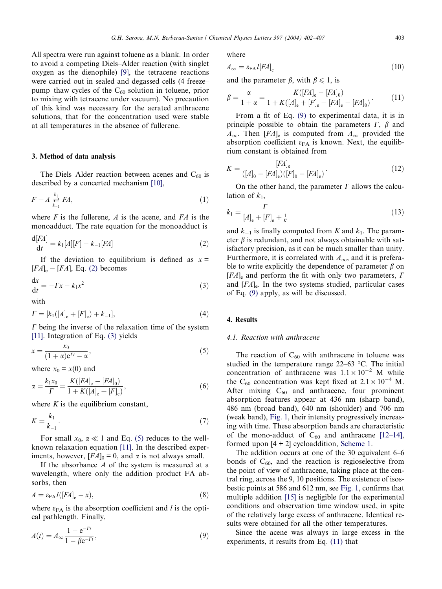<span id="page-1-0"></span>All spectra were run against toluene as a blank. In order to avoid a competing Diels–Alder reaction (with singlet oxygen as the dienophile) [\[9\]](#page-5-0), the tetracene reactions were carried out in sealed and degassed cells (4 freeze– pump–thaw cycles of the  $C_{60}$  solution in toluene, prior to mixing with tetracene under vacuum). No precaution of this kind was necessary for the aerated anthracene solutions, that for the concentration used were stable at all temperatures in the absence of fullerene.

#### 3. Method of data analysis

The Diels–Alder reaction between acenes and  $C_{60}$  is described by a concerted mechanism [\[10\],](#page-5-0)

$$
F + A \underset{k_{-1}}{\overset{k_1}{\rightleftharpoons}} FA,\tag{1}
$$

where  $F$  is the fullerene,  $A$  is the acene, and  $FA$  is the monoadduct. The rate equation for the monoadduct is

$$
\frac{d[FA]}{dt} = k_1[A][F] - k_{-1}[FA]
$$
 (2)

If the deviation to equilibrium is defined as  $x =$  $[FA]_e - [FA]$ , Eq. (2) becomes

$$
\frac{\mathrm{d}x}{\mathrm{d}t} = -\Gamma x - k_1 x^2 \tag{3}
$$

with

$$
\Gamma = [k_1([A]_e + [F]_e) + k_{-1}], \tag{4}
$$

 $\Gamma$  being the inverse of the relaxation time of the system [\[11\].](#page-5-0) Integration of Eq. (3) yields

$$
x = \frac{x_0}{(1+\alpha)e^{I'} - \alpha},\tag{5}
$$

where  $x_0 = x(0)$  and

$$
\alpha = \frac{k_1 x_0}{\Gamma} = \frac{K([FA]_e - [FA]_0)}{1 + K([A]_e + [F]_e)},\tag{6}
$$

where  $K$  is the equilibrium constant,

$$
K = \frac{k_1}{k_{-1}}.\tag{7}
$$

For small  $x_0$ ,  $\alpha \ll 1$  and Eq. (5) reduces to the wellknown relaxation equation [\[11\]](#page-5-0). In the described experiments, however,  $[FA]_0 = 0$ , and  $\alpha$  is not always small.

If the absorbance A of the system is measured at a wavelength, where only the addition product FA absorbs, then

$$
A = \varepsilon_{FA} l([FA]_e - x), \tag{8}
$$

where  $\varepsilon_{FA}$  is the absorption coefficient and l is the optical pathlength. Finally,

$$
A(t) = A_{\infty} \frac{1 - e^{-Tt}}{1 - \beta e^{-Tt}},
$$
\n(9)

where

$$
A_{\infty} = \varepsilon_{\text{FA}} l \left[ F A \right]_{\text{e}} \tag{10}
$$

and the parameter  $\beta$ , with  $\beta \leq 1$ , is

$$
\beta = \frac{\alpha}{1 + \alpha} = \frac{K([FA]_e - [FA]_0)}{1 + K([A]_e + [F]_e + [FA]_e - [FA]_0)}.
$$
(11)

From a fit of Eq. (9) to experimental data, it is in principle possible to obtain the parameters  $\Gamma$ ,  $\beta$  and  $A_{\infty}$ . Then  $[FA]_{e}$  is computed from  $A_{\infty}$  provided the absorption coefficient  $\varepsilon_{FA}$  is known. Next, the equilibrium constant is obtained from

$$
K = \frac{[FA]_e}{([A]_0 - [FA]_e)([F]_0 - [FA]_e)}.
$$
\n(12)

On the other hand, the parameter  $\Gamma$  allows the calculation of  $k_1$ ,

$$
k_1 = \frac{\Gamma}{[A]_e + [F]_e + \frac{1}{K}}
$$
\n(13)

and  $k_{-1}$  is finally computed from K and  $k_1$ . The parameter  $\beta$  is redundant, and not always obtainable with satisfactory precision, as it can be much smaller than unity. Furthermore, it is correlated with  $A_{\infty}$ , and it is preferable to write explicitly the dependence of parameter  $\beta$  on  $[FA]$ <sub>e</sub> and perform the fit with only two parameters,  $\Gamma$ and  $[FA]_e$ . In the two systems studied, particular cases of Eq. (9) apply, as will be discussed.

#### 4. Results

## 4.1. Reaction with anthracene

The reaction of  $C_{60}$  with anthracene in toluene was studied in the temperature range  $22-63$  °C. The initial concentration of anthracene was  $1.1 \times 10^{-2}$  M while the C<sub>60</sub> concentration was kept fixed at  $2.1 \times 10^{-4}$  M. After mixing  $C_{60}$  and anthracene, four prominent absorption features appear at 436 nm (sharp band), 486 nm (broad band), 640 nm (shoulder) and 706 nm (weak band), [Fig. 1,](#page-2-0) their intensity progressively increasing with time. These absorption bands are characteristic of the mono-adduct of  $C_{60}$  and anthracene [\[12–14\],](#page-5-0) formed upon [4 + 2] cycloaddition, [Scheme 1.](#page-2-0)

The addition occurs at one of the 30 equivalent 6–6 bonds of  $C_{60}$ , and the reaction is regioselective from the point of view of anthracene, taking place at the central ring, across the 9, 10 positions. The existence of isosbestic points at 586 and 612 nm, see [Fig. 1](#page-2-0), confirms that multiple addition [\[15\]](#page-5-0) is negligible for the experimental conditions and observation time window used, in spite of the relatively large excess of anthracene. Identical results were obtained for all the other temperatures.

Since the acene was always in large excess in the experiments, it results from Eq. (11) that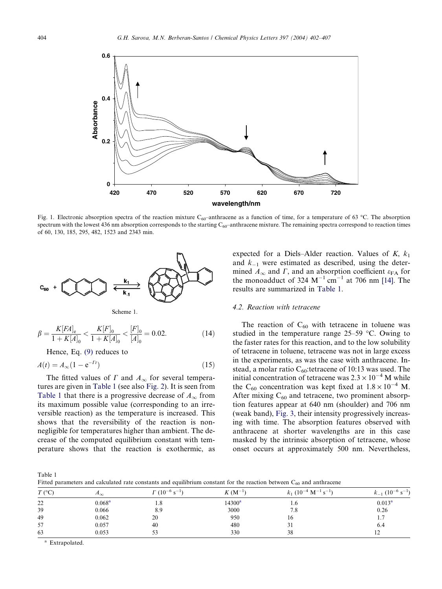<span id="page-2-0"></span>

Fig. 1. Electronic absorption spectra of the reaction mixture  $C_{60}$ –anthracene as a function of time, for a temperature of 63 °C. The absorption spectrum with the lowest 436 nm absorption corresponds to the starting  $C_{60}$ -anthracene mixture. The remaining spectra correspond to reaction times of 60, 130, 185, 295, 482, 1523 and 2343 min.



Scheme 1.

$$
\beta = \frac{K[FA]_e}{1 + K[A]_0} < \frac{K[F]_0}{1 + K[A]_0} < \frac{[F]_0}{[A]_0} = 0.02. \tag{14}
$$

Hence, Eq. [\(9\)](#page-1-0) reduces to

$$
A(t) = A_{\infty}(1 - e^{-\Gamma t})
$$
\n(15)

The fitted values of  $\Gamma$  and  $A_{\infty}$  for several temperatures are given in Table 1 (see also [Fig. 2](#page-3-0)). It is seen from Table 1 that there is a progressive decrease of  $A_{\infty}$  from its maximum possible value (corresponding to an irreversible reaction) as the temperature is increased. This shows that the reversibility of the reaction is nonnegligible for temperatures higher than ambient. The decrease of the computed equilibrium constant with temperature shows that the reaction is exothermic, as expected for a Diels–Alder reaction. Values of  $K$ ,  $k_1$ and  $k_{-1}$  were estimated as described, using the determined  $A_{\infty}$  and  $\Gamma$ , and an absorption coefficient  $\varepsilon_{FA}$  for the monoadduct of 324  $M^{-1}$  cm<sup>-1</sup> at 706 nm [\[14\].](#page-5-0) The results are summarized in Table 1.

#### 4.2. Reaction with tetracene

The reaction of  $C_{60}$  with tetracene in toluene was studied in the temperature range  $25-59$  °C. Owing to the faster rates for this reaction, and to the low solubility of tetracene in toluene, tetracene was not in large excess in the experiments, as was the case with anthracene. Instead, a molar ratio  $C_{60}$ : tetracene of 10:13 was used. The initial concentration of tetracene was  $2.3 \times 10^{-4}$  M while the C<sub>60</sub> concentration was kept fixed at  $1.8 \times 10^{-4}$  M. After mixing  $C_{60}$  and tetracene, two prominent absorption features appear at 640 nm (shoulder) and 706 nm (weak band), [Fig. 3,](#page-3-0) their intensity progressively increasing with time. The absorption features observed with anthracene at shorter wavelengths are in this case masked by the intrinsic absorption of tetracene, whose onset occurs at approximately 500 nm. Nevertheless,

Table 1

|  |  |  | Fitted parameters and calculated rate constants and equilibrium constant for the reaction between $C_{60}$ and anthracene |  |  |  |  |  |  |  |
|--|--|--|---------------------------------------------------------------------------------------------------------------------------|--|--|--|--|--|--|--|
|--|--|--|---------------------------------------------------------------------------------------------------------------------------|--|--|--|--|--|--|--|

| $T$ (°C) | $\Lambda_{\infty}$ | $\Gamma$ (10 <sup>-6</sup> s <sup>-1</sup> ) | $K(M^{-1})$        | $k_1$ (10 <sup>-4</sup> M <sup>-1</sup> s <sup>-1</sup> | $\overline{\phantom{0}}$ |
|----------|--------------------|----------------------------------------------|--------------------|---------------------------------------------------------|--------------------------|
| 22       | 0.068 <sup>a</sup> | 8. 1                                         | 14300 <sup>a</sup> | 1.6                                                     | $0.013^a$                |
| 39       | 0.066              | 8.9                                          | 3000               | 7.8                                                     | 0.26                     |
| 49       | 0.062              | 20                                           | 950                | 16                                                      |                          |
| 57       | 0.057              | 40                                           | 480                | 31                                                      | 6.4                      |
| 63       | 0.053              | 53                                           | 330                | 38                                                      |                          |

<sup>a</sup> Extrapolated.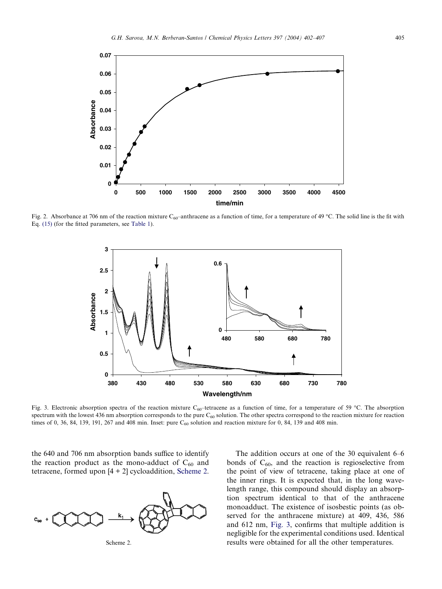<span id="page-3-0"></span>

Fig. 2. Absorbance at 706 nm of the reaction mixture C<sub>60</sub>–anthracene as a function of time, for a temperature of 49 °C. The solid line is the fit with Eq. [\(15\)](#page-2-0) (for the fitted parameters, see [Table 1\)](#page-2-0).



Fig. 3. Electronic absorption spectra of the reaction mixture C<sub>60</sub>–tetracene as a function of time, for a temperature of 59 °C. The absorption spectrum with the lowest 436 nm absorption corresponds to the pure  $C_{60}$  solution. The other spectra correspond to the reaction mixture for reaction times of 0, 36, 84, 139, 191, 267 and 408 min. Inset: pure  $C_{60}$  solution and reaction mixture for 0, 84, 139 and 408 min.

the 640 and 706 nm absorption bands suffice to identify the reaction product as the mono-adduct of  $C_{60}$  and tetracene, formed upon [4 + 2] cycloaddition, Scheme 2.





The addition occurs at one of the 30 equivalent 6–6 bonds of  $C_{60}$ , and the reaction is regioselective from the point of view of tetracene, taking place at one of the inner rings. It is expected that, in the long wavelength range, this compound should display an absorption spectrum identical to that of the anthracene monoadduct. The existence of isosbestic points (as observed for the anthracene mixture) at 409, 436, 586 and 612 nm, Fig. 3, confirms that multiple addition is negligible for the experimental conditions used. Identical results were obtained for all the other temperatures.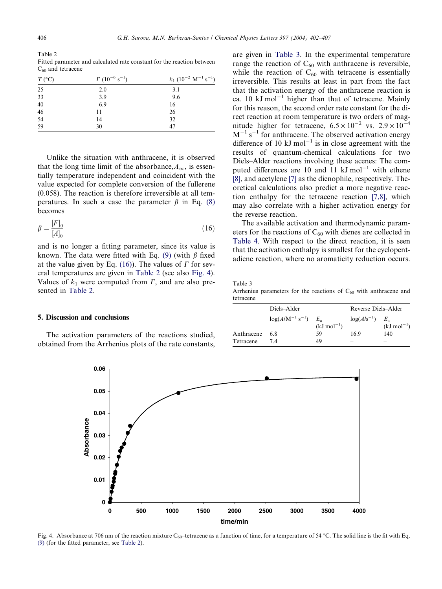Table 2 Fitted parameter and calculated rate constant for the reaction between  $C_{60}$  and tetracene

| $T$ (°C)             | $\Gamma$ (10 <sup>-6</sup> s <sup>-1</sup> ) | $k_1$ (10 <sup>-2</sup> M <sup>-1</sup> s <sup>-1</sup> ) |
|----------------------|----------------------------------------------|-----------------------------------------------------------|
| 25                   | 2.0                                          | 3.1                                                       |
| 33                   | 3.9                                          | 9.6                                                       |
|                      | 6.9                                          | 16                                                        |
|                      | 11                                           | 26                                                        |
| 40<br>46<br>54<br>59 | 14                                           | 32                                                        |
|                      | 30                                           | 47                                                        |

Unlike the situation with anthracene, it is observed that the long time limit of the absorbance,  $A_{\infty}$ , is essentially temperature independent and coincident with the value expected for complete conversion of the fullerene (0.058). The reaction is therefore irreversible at all temperatures. In such a case the parameter  $\beta$  in Eq. [\(8\)](#page-1-0) becomes

$$
\beta = \frac{[F]_0}{[A]_0} \tag{16}
$$

and is no longer a fitting parameter, since its value is known. The data were fitted with Eq. [\(9\)](#page-1-0) (with  $\beta$  fixed at the value given by Eq. (16)). The values of  $\Gamma$  for several temperatures are given in Table 2 (see also Fig. 4). Values of  $k_1$  were computed from  $\Gamma$ , and are also presented in Table 2.

#### 5. Discussion and conclusions

The activation parameters of the reactions studied, obtained from the Arrhenius plots of the rate constants, are given in Table 3. In the experimental temperature range the reaction of  $C_{60}$  with anthracene is reversible, while the reaction of  $C_{60}$  with tetracene is essentially irreversible. This results at least in part from the fact that the activation energy of the anthracene reaction is ca. 10 kJ mol<sup>-1</sup> higher than that of tetracene. Mainly for this reason, the second order rate constant for the direct reaction at room temperature is two orders of magnitude higher for tetracene,  $6.5 \times 10^{-2}$  vs.  $2.9 \times 10^{-4}$  $M^{-1}$  s<sup>-1</sup> for anthracene. The observed activation energy difference of 10 kJ mol<sup>-1</sup> is in close agreement with the results of quantum-chemical calculations for two Diels–Alder reactions involving these acenes: The computed differences are 10 and 11  $kJ \text{ mol}^{-1}$  with ethene [\[8\]](#page-5-0), and acetylene [\[7\]](#page-5-0) as the dienophile, respectively. Theoretical calculations also predict a more negative reaction enthalpy for the tetracene reaction [\[7,8\]](#page-5-0), which may also correlate with a higher activation energy for the reverse reaction.

The available activation and thermodynamic parameters for the reactions of  $C_{60}$  with dienes are collected in [Table 4](#page-5-0). With respect to the direct reaction, it is seen that the activation enthalpy is smallest for the cyclopentadiene reaction, where no aromaticity reduction occurs.

Table 3

Arrhenius parameters for the reactions of  $C_{60}$  with anthracene and tetracene

|            | Diels-Alder                       |                                        | Reverse Diels-Alder      |                                        |  |
|------------|-----------------------------------|----------------------------------------|--------------------------|----------------------------------------|--|
|            | $\log(A/M^{-1}$ s <sup>-1</sup> ) | $E_{\rm a}$<br>$(kJ \text{ mol}^{-1})$ | $log(A/s^{-1})$          | $E_{\rm a}$<br>$(kJ \text{ mol}^{-1})$ |  |
| Anthracene | 68                                | 59                                     | 16.9                     | 140                                    |  |
| Tetracene  | 74                                | 49                                     | $\overline{\phantom{a}}$ | $\sim$                                 |  |



Fig. 4. Absorbance at 706 nm of the reaction mixture C<sub>60</sub>–tetracene as a function of time, for a temperature of 54 °C. The solid line is the fit with Eq. [\(9\)](#page-1-0) (for the fitted parameter, see Table 2).